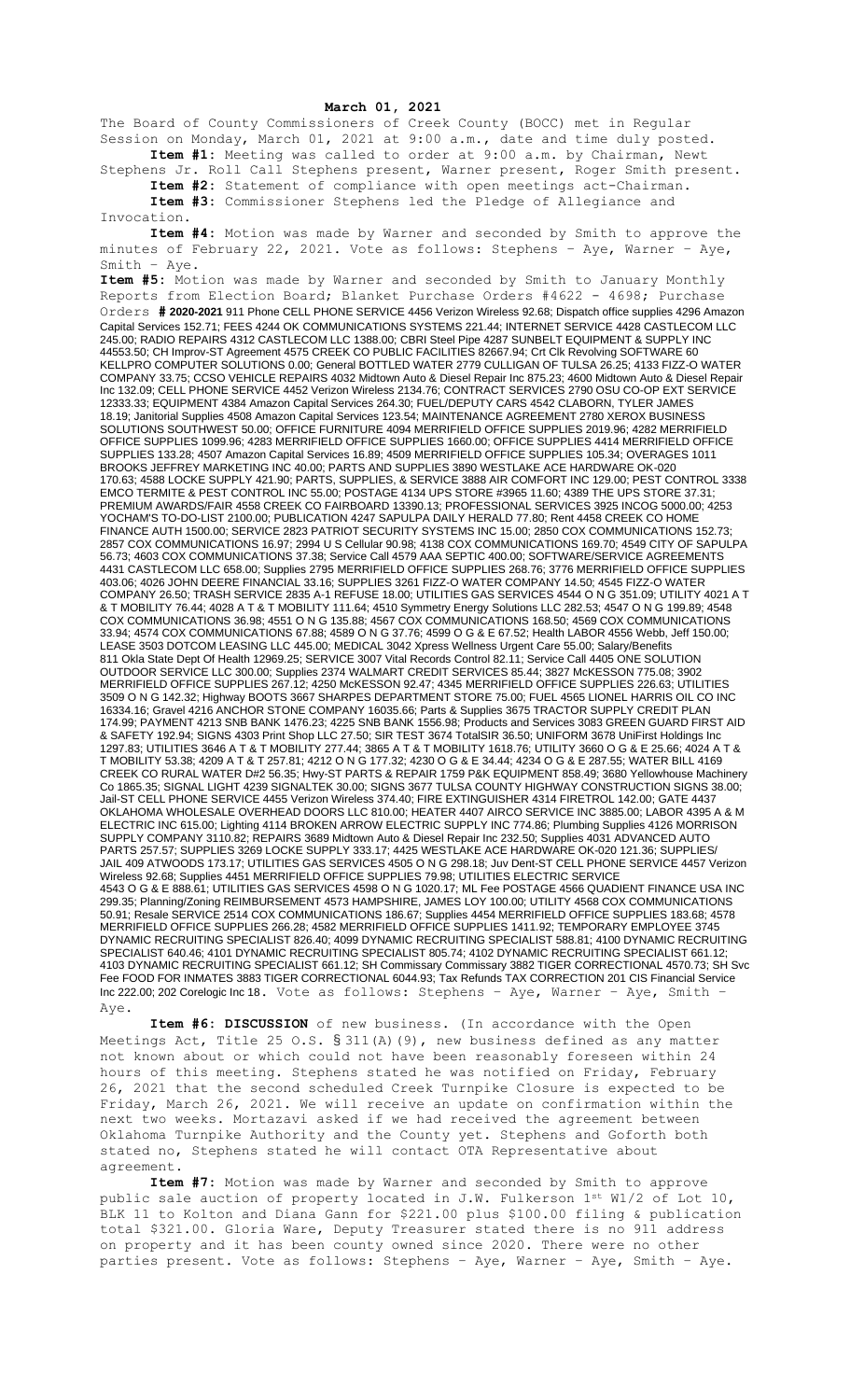## **March 01, 2021**

The Board of County Commissioners of Creek County (BOCC) met in Regular Session on Monday, March 01, 2021 at 9:00 a.m., date and time duly posted. **Item #1:** Meeting was called to order at 9:00 a.m. by Chairman, Newt

Stephens Jr. Roll Call Stephens present, Warner present, Roger Smith present. **Item #2:** Statement of compliance with open meetings act-Chairman.

**Item #3:** Commissioner Stephens led the Pledge of Allegiance and Invocation.

**Item #4:** Motion was made by Warner and seconded by Smith to approve the minutes of February 22, 2021. Vote as follows: Stephens – Aye, Warner – Aye, Smith – Aye.

**Item #5:** Motion was made by Warner and seconded by Smith to January Monthly Reports from Election Board; Blanket Purchase Orders #4622 - 4698; Purchase Orders **# 2020-2021** 911 Phone CELL PHONE SERVICE 4456 Verizon Wireless 92.68; Dispatch office supplies 4296 Amazon Capital Services 152.71; FEES 4244 OK COMMUNICATIONS SYSTEMS 221.44; INTERNET SERVICE 4428 CASTLECOM LLC 245.00; RADIO REPAIRS 4312 CASTLECOM LLC 1388.00; CBRI Steel Pipe 4287 SUNBELT EQUIPMENT & SUPPLY INC 44553.50; CH Improv-ST Agreement 4575 CREEK CO PUBLIC FACILITIES 82667.94; Crt Clk Revolving SOFTWARE 60 KELLPRO COMPUTER SOLUTIONS 0.00; General BOTTLED WATER 2779 CULLIGAN OF TULSA 26.25; 4133 FIZZ-O WATER COMPANY 33.75; CCSO VEHICLE REPAIRS 4032 Midtown Auto & Diesel Repair Inc 875.23; 4600 Midtown Auto & Diesel Repair Inc 132.09; CELL PHONE SERVICE 4452 Verizon Wireless 2134.76; CONTRACT SERVICES 2790 OSU CO-OP EXT SERVICE 12333.33; EQUIPMENT 4384 Amazon Capital Services 264.30; FUEL/DEPUTY CARS 4542 CLABORN, TYLER JAMES 18.19; Janitorial Supplies 4508 Amazon Capital Services 123.54; MAINTENANCE AGREEMENT 2780 XEROX BUSINESS SOLUTIONS SOUTHWEST 50.00; OFFICE FURNITURE 4094 MERRIFIELD OFFICE SUPPLIES 2019.96; 4282 MERRIFIELD OFFICE SUPPLIES 1099.96; 4283 MERRIFIELD OFFICE SUPPLIES 1660.00; OFFICE SUPPLIES 4414 MERRIFIELD OFFICE SUPPLIES 133.28; 4507 Amazon Capital Services 16.89; 4509 MERRIFIELD OFFICE SUPPLIES 105.34; OVERAGES 1011 BROOKS JEFFREY MARKETING INC 40.00; PARTS AND SUPPLIES 3890 WESTLAKE ACE HARDWARE OK-020 170.63; 4588 LOCKE SUPPLY 421.90; PARTS, SUPPLIES, & SERVICE 3888 AIR COMFORT INC 129.00; PEST CONTROL 3338 EMCO TERMITE & PEST CONTROL INC 55.00; POSTAGE 4134 UPS STORE #3965 11.60; 4389 THE UPS STORE 37.31; PREMIUM AWARDS/FAIR 4558 CREEK CO FAIRBOARD 13390.13; PROFESSIONAL SERVICES 3925 INCOG 5000.00; 4253 YOCHAM'S TO-DO-LIST 2100.00; PUBLICATION 4247 SAPULPA DAILY HERALD 77.80; Rent 4458 CREEK CO HOME FINANCE AUTH 1500.00; SERVICE 2823 PATRIOT SECURITY SYSTEMS INC 15.00; 2850 COX COMMUNICATIONS 152.73; 2857 COX COMMUNICATIONS 16.97; 2994 U S Cellular 90.98; 4138 COX COMMUNICATIONS 169.70; 4549 CITY OF SAPULPA 56.73; 4603 COX COMMUNICATIONS 37.38; Service Call 4579 AAA SEPTIC 400.00; SOFTWARE/SERVICE AGREEMENTS 4431 CASTLECOM LLC 658.00; Supplies 2795 MERRIFIELD OFFICE SUPPLIES 268.76; 3776 MERRIFIELD OFFICE SUPPLIES 403.06; 4026 JOHN DEERE FINANCIAL 33.16; SUPPLIES 3261 FIZZ-O WATER COMPANY 14.50; 4545 FIZZ-O WATER COMPANY 26.50; TRASH SERVICE 2835 A-1 REFUSE 18.00; UTILITIES GAS SERVICES 4544 O N G 351.09; UTILITY 4021 A T & T MOBILITY 76.44; 4028 A T & T MOBILITY 111.64; 4510 Symmetry Energy Solutions LLC 282.53; 4547 O N G 199.89; 4548 COX COMMUNICATIONS 36.98; 4551 O N G 135.88; 4567 COX COMMUNICATIONS 168.50; 4569 COX COMMUNICATIONS 33.94; 4574 COX COMMUNICATIONS 67.88; 4589 O N G 37.76; 4599 O G & E 67.52; Health LABOR 4556 Webb, Jeff 150.00; LEASE 3503 DOTCOM LEASING LLC 445.00; MEDICAL 3042 Xpress Wellness Urgent Care 55.00; Salary/Benefits 811 Okla State Dept Of Health 12969.25; SERVICE 3007 Vital Records Control 82.11; Service Call 4405 ONE SOLUTION OUTDOOR SERVICE LLC 300.00; Supplies 2374 WALMART CREDIT SERVICES 85.44; 3827 McKESSON 775.08; 3902 MERRIFIELD OFFICE SUPPLIES 267.12; 4250 McKESSON 92.47; 4345 MERRIFIELD OFFICE SUPPLIES 226.63; UTILITIES 3509 O N G 142.32; Highway BOOTS 3667 SHARPES DEPARTMENT STORE 75.00; FUEL 4565 LIONEL HARRIS OIL CO INC 16334.16; Gravel 4216 ANCHOR STONE COMPANY 16035.66; Parts & Supplies 3675 TRACTOR SUPPLY CREDIT PLAN 174.99; PAYMENT 4213 SNB BANK 1476.23; 4225 SNB BANK 1556.98; Products and Services 3083 GREEN GUARD FIRST AID & SAFETY 192.94; SIGNS 4303 Print Shop LLC 27.50; SIR TEST 3674 TotalSIR 36.50; UNIFORM 3678 UniFirst Holdings Inc 1297.83; UTILITIES 3646 A T & T MOBILITY 277.44; 3865 A T & T MOBILITY 1618.76; UTILITY 3660 O G & E 25.66; 4024 A T & T MOBILITY 53.38; 4209 A T & T 257.81; 4212 O N G 177.32; 4230 O G & E 34.44; 4234 O G & E 287.55; WATER BILL 4169 CREEK CO RURAL WATER D#2 56.35; Hwy-ST PARTS & REPAIR 1759 P&K EQUIPMENT 858.49; 3680 Yellowhouse Machinery Co 1865.35; SIGNAL LIGHT 4239 SIGNALTEK 30.00; SIGNS 3677 TULSA COUNTY HIGHWAY CONSTRUCTION SIGNS 38.00; Jail-ST CELL PHONE SERVICE 4455 Verizon Wireless 374.40; FIRE EXTINGUISHER 4314 FIRETROL 142.00; GATE 4437 OKLAHOMA WHOLESALE OVERHEAD DOORS LLC 810.00; HEATER 4407 AIRCO SERVICE INC 3885.00; LABOR 4395 A & M ELECTRIC INC 615.00; Lighting 4114 BROKEN ARROW ELECTRIC SUPPLY INC 774.86; Plumbing Supplies 4126 MORRISON SUPPLY COMPANY 3110.82; REPAIRS 3689 Midtown Auto & Diesel Repair Inc 232.50; Supplies 4031 ADVANCED AUTO PARTS 257.57; SUPPLIES 3269 LOCKE SUPPLY 333.17; 4425 WESTLAKE ACE HARDWARE OK-020 121.36; SUPPLIES/ JAIL 409 ATWOODS 173.17; UTILITIES GAS SERVICES 4505 O N G 298.18; Juv Dent-ST CELL PHONE SERVICE 4457 Verizon Wireless 92.68; Supplies 4451 MERRIFIELD OFFICE SUPPLIES 79.98; UTILITIES ELECTRIC SERVICE 4543 O G & E 888.61; UTILITIES GAS SERVICES 4598 O N G 1020.17; ML Fee POSTAGE 4566 QUADIENT FINANCE USA INC 299.35; Planning/Zoning REIMBURSEMENT 4573 HAMPSHIRE, JAMES LOY 100.00; UTILITY 4568 COX COMMUNICATIONS 50.91; Resale SERVICE 2514 COX COMMUNICATIONS 186.67; Supplies 4454 MERRIFIELD OFFICE SUPPLIES 183.68; 4578 MERRIFIELD OFFICE SUPPLIES 266.28; 4582 MERRIFIELD OFFICE SUPPLIES 1411.92; TEMPORARY EMPLOYEE 3745 DYNAMIC RECRUITING SPECIALIST 826.40; 4099 DYNAMIC RECRUITING SPECIALIST 588.81; 4100 DYNAMIC RECRUITING SPECIALIST 640.46; 4101 DYNAMIC RECRUITING SPECIALIST 805.74; 4102 DYNAMIC RECRUITING SPECIALIST 661.12; 4103 DYNAMIC RECRUITING SPECIALIST 661.12; SH Commissary Commissary 3882 TIGER CORRECTIONAL 4570.73; SH Svc Fee FOOD FOR INMATES 3883 TIGER CORRECTIONAL 6044.93; Tax Refunds TAX CORRECTION 201 CIS Financial Service Inc 222.00; 202 Corelogic Inc 18. Vote as follows: Stephens – Aye, Warner – Aye, Smith – Aye.

**Item #6: DISCUSSION** of new business. (In accordance with the Open Meetings Act, Title 25 O.S. § 311(A)(9), new business defined as any matter not known about or which could not have been reasonably foreseen within 24 hours of this meeting. Stephens stated he was notified on Friday, February 26, 2021 that the second scheduled Creek Turnpike Closure is expected to be Friday, March 26, 2021. We will receive an update on confirmation within the next two weeks. Mortazavi asked if we had received the agreement between Oklahoma Turnpike Authority and the County yet. Stephens and Goforth both stated no, Stephens stated he will contact OTA Representative about agreement.

**Item #7:** Motion was made by Warner and seconded by Smith to approve public sale auction of property located in J.W. Fulkerson 1st W1/2 of Lot 10, BLK 11 to Kolton and Diana Gann for \$221.00 plus \$100.00 filing & publication total \$321.00. Gloria Ware, Deputy Treasurer stated there is no 911 address on property and it has been county owned since 2020. There were no other parties present. Vote as follows: Stephens – Aye, Warner – Aye, Smith – Aye.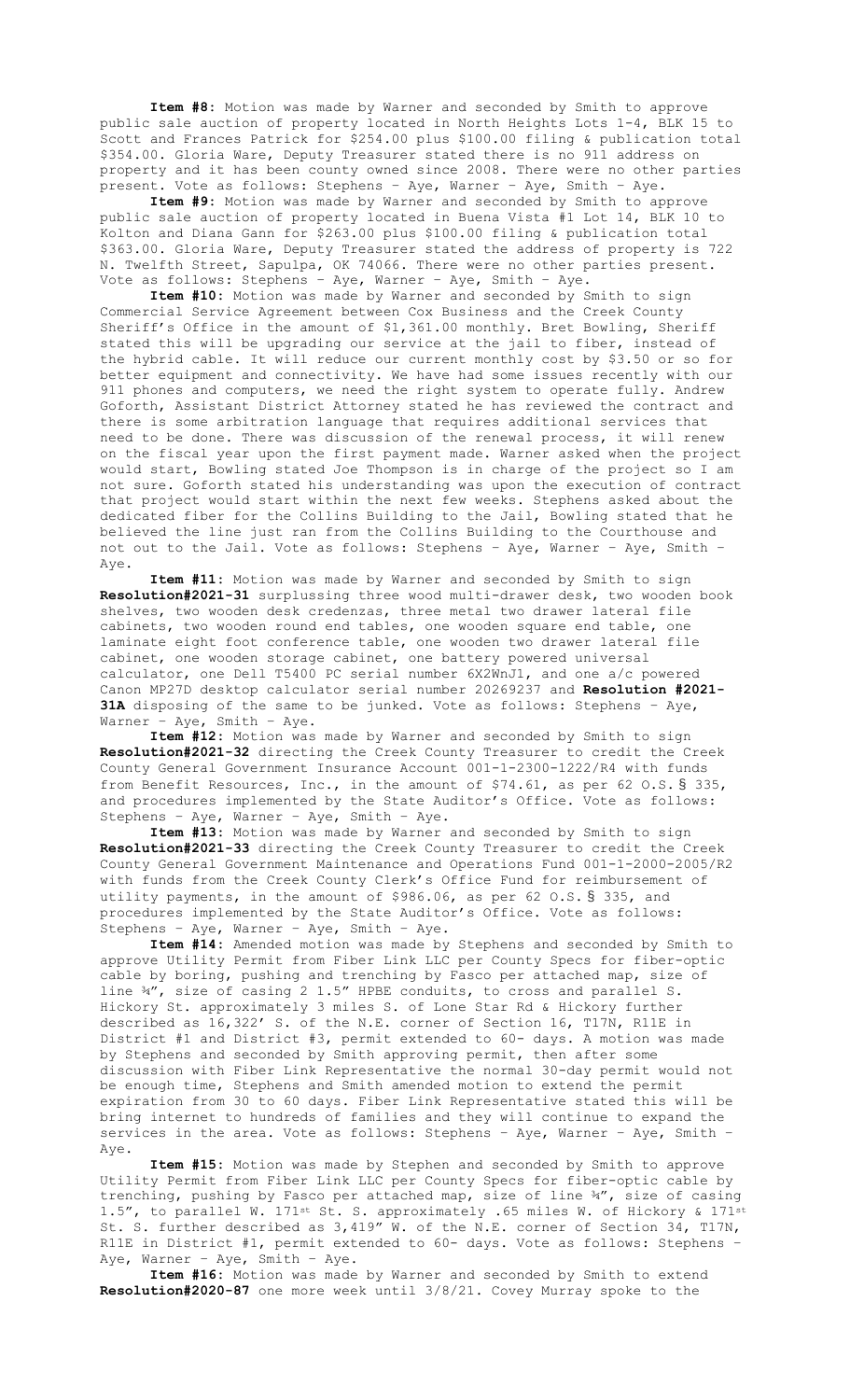**Item #8:** Motion was made by Warner and seconded by Smith to approve public sale auction of property located in North Heights Lots 1-4, BLK 15 to Scott and Frances Patrick for \$254.00 plus \$100.00 filing & publication total \$354.00. Gloria Ware, Deputy Treasurer stated there is no 911 address on property and it has been county owned since 2008. There were no other parties present. Vote as follows: Stephens – Aye, Warner – Aye, Smith – Aye.

**Item #9:** Motion was made by Warner and seconded by Smith to approve public sale auction of property located in Buena Vista #1 Lot 14, BLK 10 to Kolton and Diana Gann for \$263.00 plus \$100.00 filing & publication total \$363.00. Gloria Ware, Deputy Treasurer stated the address of property is 722 N. Twelfth Street, Sapulpa, OK 74066. There were no other parties present. Vote as follows: Stephens – Aye, Warner – Aye, Smith – Aye.

**Item #10:** Motion was made by Warner and seconded by Smith to sign Commercial Service Agreement between Cox Business and the Creek County Sheriff's Office in the amount of \$1,361.00 monthly. Bret Bowling, Sheriff stated this will be upgrading our service at the jail to fiber, instead of the hybrid cable. It will reduce our current monthly cost by \$3.50 or so for better equipment and connectivity. We have had some issues recently with our 911 phones and computers, we need the right system to operate fully. Andrew Goforth, Assistant District Attorney stated he has reviewed the contract and there is some arbitration language that requires additional services that need to be done. There was discussion of the renewal process, it will renew on the fiscal year upon the first payment made. Warner asked when the project would start, Bowling stated Joe Thompson is in charge of the project so I am not sure. Goforth stated his understanding was upon the execution of contract that project would start within the next few weeks. Stephens asked about the dedicated fiber for the Collins Building to the Jail, Bowling stated that he believed the line just ran from the Collins Building to the Courthouse and not out to the Jail. Vote as follows: Stephens – Aye, Warner – Aye, Smith – Aye.

**Item #11:** Motion was made by Warner and seconded by Smith to sign **Resolution#2021-31** surplussing three wood multi-drawer desk, two wooden book shelves, two wooden desk credenzas, three metal two drawer lateral file cabinets, two wooden round end tables, one wooden square end table, one laminate eight foot conference table, one wooden two drawer lateral file cabinet, one wooden storage cabinet, one battery powered universal calculator, one Dell T5400 PC serial number 6X2WnJ1, and one a/c powered Canon MP27D desktop calculator serial number 20269237 and **Resolution #2021- 31A** disposing of the same to be junked. Vote as follows: Stephens – Aye, Warner – Aye, Smith – Aye.

**Item #12:** Motion was made by Warner and seconded by Smith to sign **Resolution#2021-32** directing the Creek County Treasurer to credit the Creek County General Government Insurance Account 001-1-2300-1222/R4 with funds from Benefit Resources, Inc., in the amount of \$74.61, as per 62 O.S. § 335, and procedures implemented by the State Auditor's Office. Vote as follows: Stephens – Aye, Warner – Aye, Smith – Aye.

**Item #13:** Motion was made by Warner and seconded by Smith to sign **Resolution#2021-33** directing the Creek County Treasurer to credit the Creek County General Government Maintenance and Operations Fund 001-1-2000-2005/R2 with funds from the Creek County Clerk's Office Fund for reimbursement of utility payments, in the amount of \$986.06, as per 62 O.S. § 335, and procedures implemented by the State Auditor's Office. Vote as follows: Stephens – Aye, Warner – Aye, Smith – Aye.

**Item #14:** Amended motion was made by Stephens and seconded by Smith to approve Utility Permit from Fiber Link LLC per County Specs for fiber-optic cable by boring, pushing and trenching by Fasco per attached map, size of line ¾", size of casing 2 1.5" HPBE conduits, to cross and parallel S. Hickory St. approximately 3 miles S. of Lone Star Rd & Hickory further described as 16,322' S. of the N.E. corner of Section 16, T17N, R11E in District #1 and District #3, permit extended to 60- days. A motion was made by Stephens and seconded by Smith approving permit, then after some discussion with Fiber Link Representative the normal 30-day permit would not be enough time, Stephens and Smith amended motion to extend the permit expiration from 30 to 60 days. Fiber Link Representative stated this will be bring internet to hundreds of families and they will continue to expand the services in the area. Vote as follows: Stephens – Aye, Warner – Aye, Smith – Aye.

**Item #15:** Motion was made by Stephen and seconded by Smith to approve Utility Permit from Fiber Link LLC per County Specs for fiber-optic cable by trenching, pushing by Fasco per attached map, size of line 34", size of casing 1.5", to parallel W. 171st St. S. approximately .65 miles W. of Hickory & 171st St. S. further described as 3,419" W. of the N.E. corner of Section 34, T17N, R11E in District #1, permit extended to 60- days. Vote as follows: Stephens – Aye, Warner – Aye, Smith – Aye.

**Item #16:** Motion was made by Warner and seconded by Smith to extend **Resolution#2020-87** one more week until 3/8/21. Covey Murray spoke to the